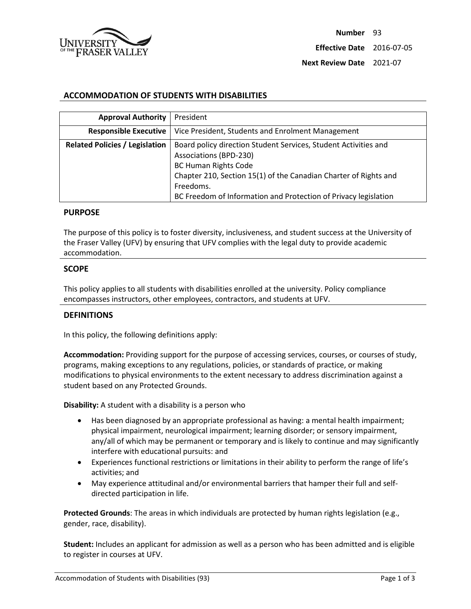

### **ACCOMMODATION OF STUDENTS WITH DISABILITIES**

| <b>Approval Authority</b>             | President                                                                                                                                                                                                                                                                    |
|---------------------------------------|------------------------------------------------------------------------------------------------------------------------------------------------------------------------------------------------------------------------------------------------------------------------------|
| <b>Responsible Executive</b>          | Vice President, Students and Enrolment Management                                                                                                                                                                                                                            |
| <b>Related Policies / Legislation</b> | Board policy direction Student Services, Student Activities and<br>Associations (BPD-230)<br><b>BC Human Rights Code</b><br>Chapter 210, Section 15(1) of the Canadian Charter of Rights and<br>Freedoms.<br>BC Freedom of Information and Protection of Privacy legislation |

#### **PURPOSE**

The purpose of this policy is to foster diversity, inclusiveness, and student success at the University of the Fraser Valley (UFV) by ensuring that UFV complies with the legal duty to provide academic accommodation.

#### **SCOPE**

This policy applies to all students with disabilities enrolled at the university. Policy compliance encompasses instructors, other employees, contractors, and students at UFV.

#### **DEFINITIONS**

In this policy, the following definitions apply:

**Accommodation:** Providing support for the purpose of accessing services, courses, or courses of study, programs, making exceptions to any regulations, policies, or standards of practice, or making modifications to physical environments to the extent necessary to address discrimination against a student based on any Protected Grounds.

**Disability:** A student with a disability is a person who

- Has been diagnosed by an appropriate professional as having: a mental health impairment; physical impairment, neurological impairment; learning disorder; or sensory impairment, any/all of which may be permanent or temporary and is likely to continue and may significantly interfere with educational pursuits: and
- Experiences functional restrictions or limitations in their ability to perform the range of life's activities; and
- May experience attitudinal and/or environmental barriers that hamper their full and selfdirected participation in life.

**Protected Grounds**: The areas in which individuals are protected by human rights legislation (e.g., gender, race, disability).

**Student:** Includes an applicant for admission as well as a person who has been admitted and is eligible to register in courses at UFV.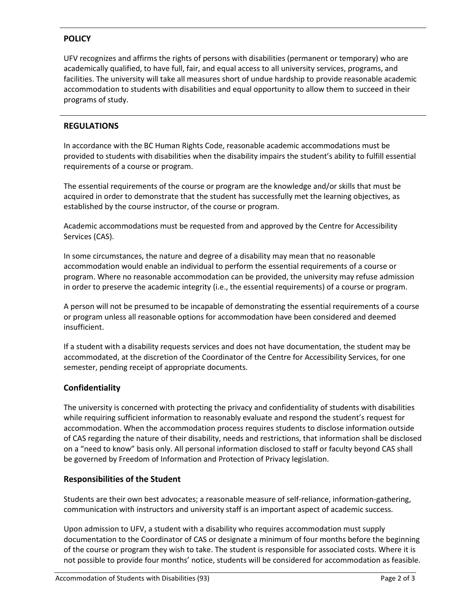# **POLICY**

UFV recognizes and affirms the rights of persons with disabilities (permanent or temporary) who are academically qualified, to have full, fair, and equal access to all university services, programs, and facilities. The university will take all measures short of undue hardship to provide reasonable academic accommodation to students with disabilities and equal opportunity to allow them to succeed in their programs of study.

# **REGULATIONS**

In accordance with the BC Human Rights Code, reasonable academic accommodations must be provided to students with disabilities when the disability impairs the student's ability to fulfill essential requirements of a course or program.

The essential requirements of the course or program are the knowledge and/or skills that must be acquired in order to demonstrate that the student has successfully met the learning objectives, as established by the course instructor, of the course or program.

Academic accommodations must be requested from and approved by the Centre for Accessibility Services (CAS).

In some circumstances, the nature and degree of a disability may mean that no reasonable accommodation would enable an individual to perform the essential requirements of a course or program. Where no reasonable accommodation can be provided, the university may refuse admission in order to preserve the academic integrity (i.e., the essential requirements) of a course or program.

A person will not be presumed to be incapable of demonstrating the essential requirements of a course or program unless all reasonable options for accommodation have been considered and deemed insufficient.

If a student with a disability requests services and does not have documentation, the student may be accommodated, at the discretion of the Coordinator of the Centre for Accessibility Services, for one semester, pending receipt of appropriate documents.

# **Confidentiality**

The university is concerned with protecting the privacy and confidentiality of students with disabilities while requiring sufficient information to reasonably evaluate and respond the student's request for accommodation. When the accommodation process requires students to disclose information outside of CAS regarding the nature of their disability, needs and restrictions, that information shall be disclosed on a "need to know" basis only. All personal information disclosed to staff or faculty beyond CAS shall be governed by Freedom of Information and Protection of Privacy legislation.

# **Responsibilities of the Student**

Students are their own best advocates; a reasonable measure of self-reliance, information-gathering, communication with instructors and university staff is an important aspect of academic success.

Upon admission to UFV, a student with a disability who requires accommodation must supply documentation to the Coordinator of CAS or designate a minimum of four months before the beginning of the course or program they wish to take. The student is responsible for associated costs. Where it is not possible to provide four months' notice, students will be considered for accommodation as feasible.